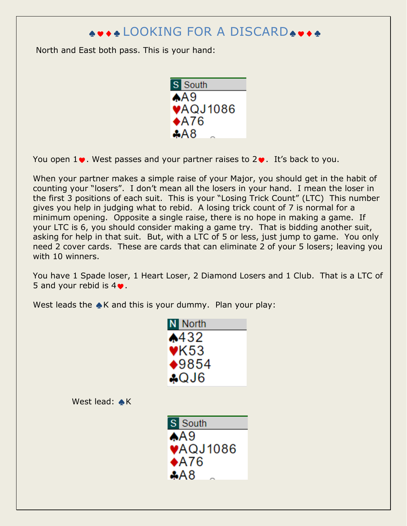## ♠♥♦♣ LOOKING FOR A DISCARD♠♥♦♣

North and East both pass. This is your hand:



You open  $1\bullet$ . West passes and your partner raises to  $2\bullet$ . It's back to you.

When your partner makes a simple raise of your Major, you should get in the habit of counting your "losers". I don't mean all the losers in your hand. I mean the loser in the first 3 positions of each suit. This is your "Losing Trick Count" (LTC) This number gives you help in judging what to rebid. A losing trick count of 7 is normal for a minimum opening. Opposite a single raise, there is no hope in making a game. If your LTC is 6, you should consider making a game try. That is bidding another suit, asking for help in that suit. But, with a LTC of 5 or less, just jump to game. You only need 2 cover cards. These are cards that can eliminate 2 of your 5 losers; leaving you with 10 winners.

You have 1 Spade loser, 1 Heart Loser, 2 Diamond Losers and 1 Club. That is a LTC of 5 and your rebid is 4♥.

West leads the ▲K and this is your dummy. Plan your play:

| N North         |
|-----------------|
| $*432$          |
| VK53            |
| $*9854$         |
| AQJ6            |
|                 |
|                 |
|                 |
| S South         |
| $A$ A $9$       |
| <b>VAQJ1086</b> |
|                 |
|                 |
| $*A76$<br>AA8   |
|                 |

West lead:  $\overline{A}$